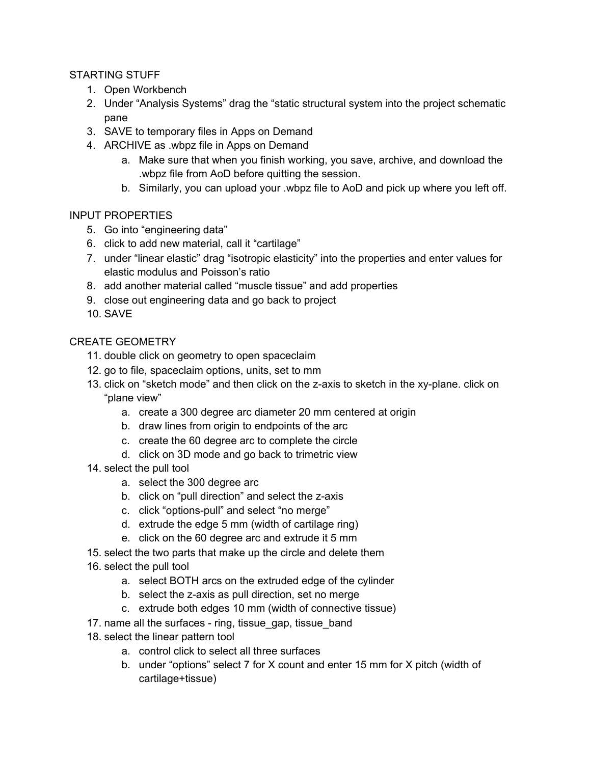## STARTING STUFF

- 1. Open Workbench
- 2. Under "Analysis Systems" drag the "static structural system into the project schematic pane
- 3. SAVE to temporary files in Apps on Demand
- 4. ARCHIVE as .wbpz file in Apps on Demand
	- a. Make sure that when you finish working, you save, archive, and download the .wbpz file from AoD before quitting the session.
	- b. Similarly, you can upload your .wbpz file to AoD and pick up where you left off.

### INPUT PROPERTIES

- 5. Go into "engineering data"
- 6. click to add new material, call it "cartilage"
- 7. under "linear elastic" drag "isotropic elasticity" into the properties and enter values for elastic modulus and Poisson's ratio
- 8. add another material called "muscle tissue" and add properties
- 9. close out engineering data and go back to project
- 10. SAVE

# CREATE GEOMETRY

- 11. double click on geometry to open spaceclaim
- 12. go to file, spaceclaim options, units, set to mm
- 13. click on "sketch mode" and then click on the z-axis to sketch in the xy-plane. click on "plane view"
	- a. create a 300 degree arc diameter 20 mm centered at origin
	- b. draw lines from origin to endpoints of the arc
	- c. create the 60 degree arc to complete the circle
	- d. click on 3D mode and go back to trimetric view
- 14. select the pull tool
	- a. select the 300 degree arc
	- b. click on "pull direction" and select the z-axis
	- c. click "options-pull" and select "no merge"
	- d. extrude the edge 5 mm (width of cartilage ring)
	- e. click on the 60 degree arc and extrude it 5 mm
- 15. select the two parts that make up the circle and delete them
- 16. select the pull tool
	- a. select BOTH arcs on the extruded edge of the cylinder
	- b. select the z-axis as pull direction, set no merge
	- c. extrude both edges 10 mm (width of connective tissue)
- 17. name all the surfaces ring, tissue\_gap, tissue\_band
- 18. select the linear pattern tool
	- a. control click to select all three surfaces
	- b. under "options" select 7 for X count and enter 15 mm for X pitch (width of cartilage+tissue)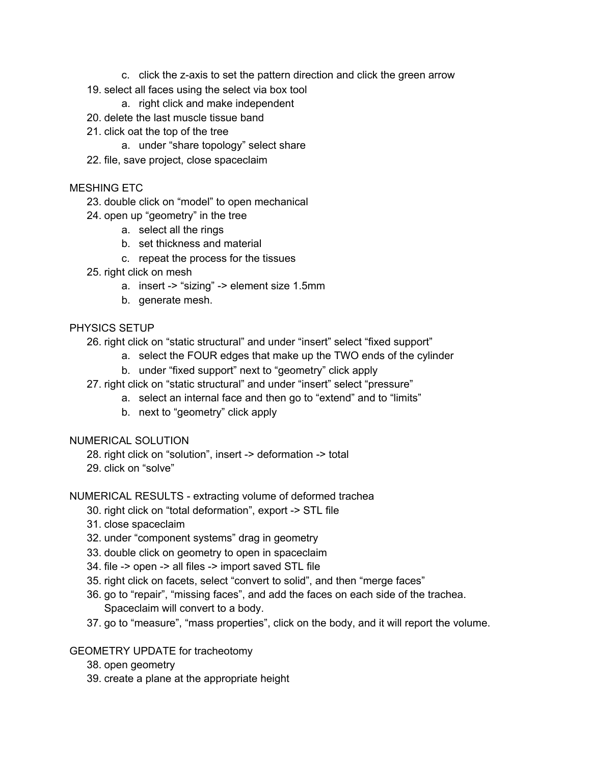- c. click the z-axis to set the pattern direction and click the green arrow
- 19. select all faces using the select via box tool
	- a. right click and make independent
- 20. delete the last muscle tissue band
- 21. click oat the top of the tree
	- a. under "share topology" select share
- 22. file, save project, close spaceclaim

### MESHING ETC

- 23. double click on "model" to open mechanical
- 24. open up "geometry" in the tree
	- a. select all the rings
	- b. set thickness and material
	- c. repeat the process for the tissues
- 25. right click on mesh
	- a. insert -> "sizing" -> element size 1.5mm
	- b. generate mesh.

### PHYSICS SETUP

- 26. right click on "static structural" and under "insert" select "fixed support"
	- a. select the FOUR edges that make up the TWO ends of the cylinder
	- b. under "fixed support" next to "geometry" click apply
- 27. right click on "static structural" and under "insert" select "pressure"
	- a. select an internal face and then go to "extend" and to "limits"
	- b. next to "geometry" click apply

#### NUMERICAL SOLUTION

- 28. right click on "solution", insert -> deformation -> total
- 29. click on "solve"

#### NUMERICAL RESULTS - extracting volume of deformed trachea

- 30. right click on "total deformation", export -> STL file
- 31. close spaceclaim
- 32. under "component systems" drag in geometry
- 33. double click on geometry to open in spaceclaim
- 34. file -> open -> all files -> import saved STL file
- 35. right click on facets, select "convert to solid", and then "merge faces"
- 36. go to "repair", "missing faces", and add the faces on each side of the trachea. Spaceclaim will convert to a body.
- 37. go to "measure", "mass properties", click on the body, and it will report the volume.

#### GEOMETRY UPDATE for tracheotomy

- 38. open geometry
- 39. create a plane at the appropriate height